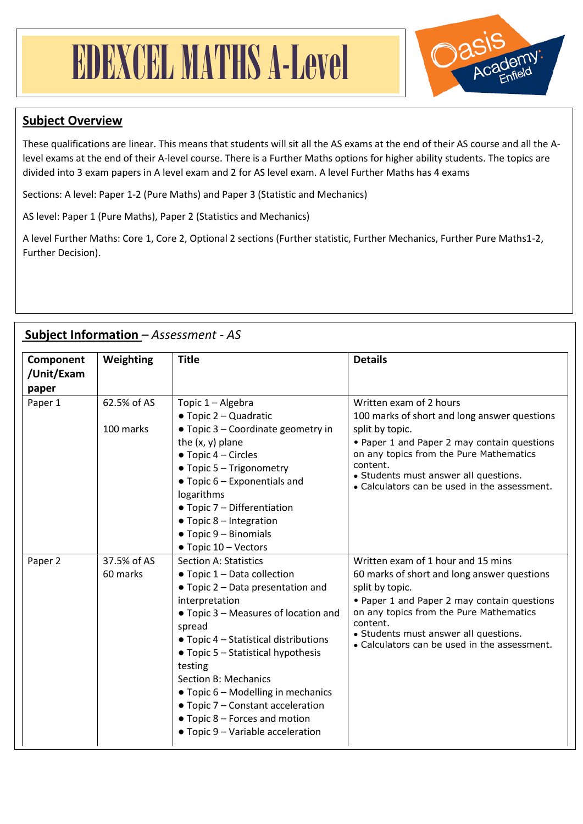## EDEXCEL MATHS A-Level



## **Subject Overview**

These qualifications are linear. This means that students will sit all the AS exams at the end of their AS course and all the Alevel exams at the end of their A-level course. There is a Further Maths options for higher ability students. The topics are divided into 3 exam papers in A level exam and 2 for AS level exam. A level Further Maths has 4 exams

Sections: A level: Paper 1-2 (Pure Maths) and Paper 3 (Statistic and Mechanics)

AS level: Paper 1 (Pure Maths), Paper 2 (Statistics and Mechanics)

A level Further Maths: Core 1, Core 2, Optional 2 sections (Further statistic, Further Mechanics, Further Pure Maths1-2, Further Decision).

| Subject Information - Assessment - AS |  |
|---------------------------------------|--|
|                                       |  |

| Component<br>/Unit/Exam<br>paper | Weighting                | <b>Title</b>                                                                                                                                                                                                                                                                                                                                                                                                                                           | <b>Details</b>                                                                                                                                                                                                                                                                                      |
|----------------------------------|--------------------------|--------------------------------------------------------------------------------------------------------------------------------------------------------------------------------------------------------------------------------------------------------------------------------------------------------------------------------------------------------------------------------------------------------------------------------------------------------|-----------------------------------------------------------------------------------------------------------------------------------------------------------------------------------------------------------------------------------------------------------------------------------------------------|
| Paper 1                          | 62.5% of AS<br>100 marks | Topic 1 - Algebra<br>$\bullet$ Topic 2 – Quadratic<br>• Topic 3 - Coordinate geometry in<br>the $(x, y)$ plane<br>$\bullet$ Topic 4 – Circles<br>• Topic 5 - Trigonometry<br>$\bullet$ Topic 6 – Exponentials and<br>logarithms<br>• Topic 7 - Differentiation<br>$\bullet$ Topic 8 – Integration<br>$\bullet$ Topic 9 - Binomials<br>• Topic 10 - Vectors                                                                                             | Written exam of 2 hours<br>100 marks of short and long answer questions<br>split by topic.<br>• Paper 1 and Paper 2 may contain questions<br>on any topics from the Pure Mathematics<br>content.<br>• Students must answer all questions.<br>• Calculators can be used in the assessment.           |
| Paper 2                          | 37.5% of AS<br>60 marks  | <b>Section A: Statistics</b><br>• Topic 1 - Data collection<br>• Topic 2 - Data presentation and<br>interpretation<br>• Topic 3 - Measures of location and<br>spread<br>• Topic 4 – Statistical distributions<br>$\bullet$ Topic 5 - Statistical hypothesis<br>testing<br><b>Section B: Mechanics</b><br>• Topic 6 – Modelling in mechanics<br>• Topic 7 - Constant acceleration<br>• Topic 8 – Forces and motion<br>• Topic 9 - Variable acceleration | Written exam of 1 hour and 15 mins<br>60 marks of short and long answer questions<br>split by topic.<br>• Paper 1 and Paper 2 may contain questions<br>on any topics from the Pure Mathematics<br>content.<br>• Students must answer all questions.<br>• Calculators can be used in the assessment. |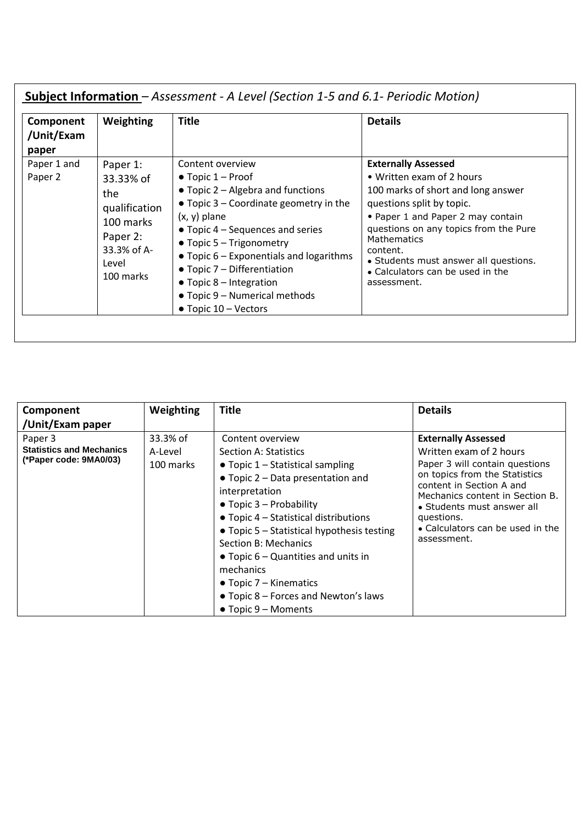| Component<br>/Unit/Exam<br>paper | Weighting                                                                                                   | <b>Title</b>                                                                                                                                                                                                                                                                                                                                                                                                                                 | <b>Details</b>                                                                                                                                                                                                                                                                                                                  |
|----------------------------------|-------------------------------------------------------------------------------------------------------------|----------------------------------------------------------------------------------------------------------------------------------------------------------------------------------------------------------------------------------------------------------------------------------------------------------------------------------------------------------------------------------------------------------------------------------------------|---------------------------------------------------------------------------------------------------------------------------------------------------------------------------------------------------------------------------------------------------------------------------------------------------------------------------------|
| Paper 1 and<br>Paper 2           | Paper 1:<br>33.33% of<br>the<br>qualification<br>100 marks<br>Paper 2:<br>33.3% of A-<br>Level<br>100 marks | Content overview<br>$\bullet$ Topic 1 – Proof<br>$\bullet$ Topic 2 – Algebra and functions<br>$\bullet$ Topic 3 – Coordinate geometry in the<br>$(x, y)$ plane<br>$\bullet$ Topic 4 – Sequences and series<br>$\bullet$ Topic 5 - Trigonometry<br>$\bullet$ Topic 6 – Exponentials and logarithms<br>$\bullet$ Topic 7 – Differentiation<br>$\bullet$ Topic 8 – Integration<br>• Topic 9 – Numerical methods<br>$\bullet$ Topic 10 – Vectors | <b>Externally Assessed</b><br>• Written exam of 2 hours<br>100 marks of short and long answer<br>questions split by topic.<br>• Paper 1 and Paper 2 may contain<br>questions on any topics from the Pure<br>Mathematics<br>content.<br>• Students must answer all questions.<br>• Calculators can be used in the<br>assessment. |

| Component                                                            | Weighting                        | <b>Title</b>                                                                                                                                                                                                                                                                                                                                                                                                                                                        | <b>Details</b>                                                                                                                                                                                                                                                                         |
|----------------------------------------------------------------------|----------------------------------|---------------------------------------------------------------------------------------------------------------------------------------------------------------------------------------------------------------------------------------------------------------------------------------------------------------------------------------------------------------------------------------------------------------------------------------------------------------------|----------------------------------------------------------------------------------------------------------------------------------------------------------------------------------------------------------------------------------------------------------------------------------------|
| /Unit/Exam paper                                                     |                                  |                                                                                                                                                                                                                                                                                                                                                                                                                                                                     |                                                                                                                                                                                                                                                                                        |
| Paper 3<br><b>Statistics and Mechanics</b><br>(*Paper code: 9MA0/03) | 33.3% of<br>A-Level<br>100 marks | Content overview<br><b>Section A: Statistics</b><br>$\bullet$ Topic 1 – Statistical sampling<br>$\bullet$ Topic 2 – Data presentation and<br>interpretation<br>$\bullet$ Topic 3 – Probability<br>$\bullet$ Topic 4 – Statistical distributions<br>$\bullet$ Topic 5 – Statistical hypothesis testing<br>Section B: Mechanics<br>$\bullet$ Topic 6 – Quantities and units in<br>mechanics<br>$\bullet$ Topic 7 – Kinematics<br>• Topic 8 – Forces and Newton's laws | <b>Externally Assessed</b><br>Written exam of 2 hours<br>Paper 3 will contain questions<br>on topics from the Statistics<br>content in Section A and<br>Mechanics content in Section B.<br>• Students must answer all<br>questions.<br>• Calculators can be used in the<br>assessment. |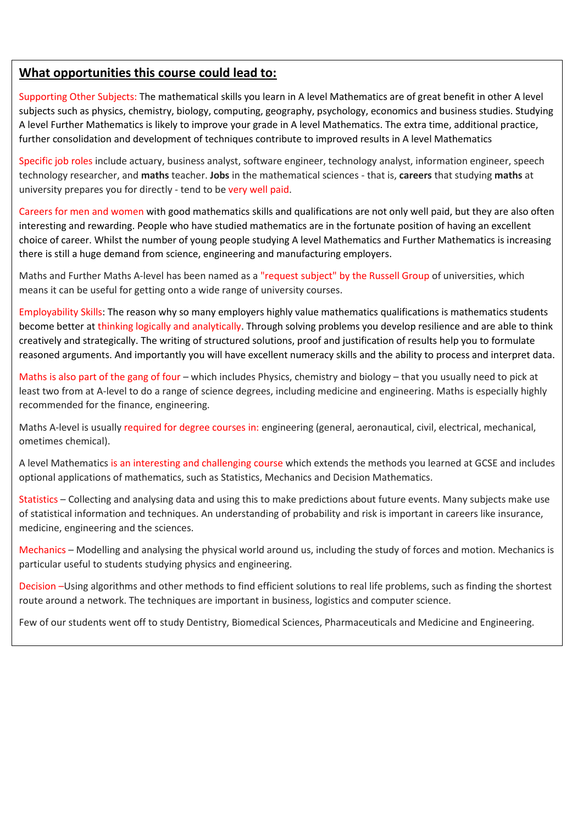## **What opportunities this course could lead to:**

Supporting Other Subjects: The mathematical skills you learn in A level Mathematics are of great benefit in other A level subjects such as physics, chemistry, biology, computing, geography, psychology, economics and business studies. Studying A level Further Mathematics is likely to improve your grade in A level Mathematics. The extra time, additional practice, further consolidation and development of techniques contribute to improved results in A level Mathematics

Specific job roles include actuary, business analyst, software engineer, technology analyst, information engineer, speech technology researcher, and **maths** teacher. **Jobs** in the mathematical sciences - that is, **careers** that studying **maths** at university prepares you for directly - tend to be very well paid.

Careers for men and women with good mathematics skills and qualifications are not only well paid, but they are also often interesting and rewarding. People who have studied mathematics are in the fortunate position of having an excellent choice of career. Whilst the number of young people studying A level Mathematics and Further Mathematics is increasing there is still a huge demand from science, engineering and manufacturing employers.

Maths and Further Maths A-level has been named as a "request subject" by the [Russell Group](https://successatschool.org/advicedetails/341/Who-Are-the-Russell-Group-Universities%3F) of universities, which means it can be useful for getting onto a wide range of university courses.

Employability Skills: The reason why so many employers highly value mathematics qualifications is mathematics students become better at thinking logically and analytically. Through solving problems you develop resilience and are able to think creatively and strategically. The writing of structured solutions, proof and justification of results help you to formulate reasoned arguments. And importantly you will have excellent numeracy skills and the ability to process and interpret data.

Maths is also part of the gang of four – which includes Physics, [chemistry](https://successatschool.org/advicedetails/190/Why-Study-Chemistry%3F) and [biology](https://successatschool.org/advicedetails/208/Why-Study-Biology%3F) – that you usually need to pick at least two from at A-level to do a range of science degrees, including medicine and [engineering.](https://successatschool.org/advicedetails/551/What-are-the-Different-Types-of-Engineering-Jobs%3F) Maths is especially highly recommended for the finance, engineering.

Maths A-level is usually required for degree courses in: [engineering](https://successatschool.org/careerzonesummary/2/Engineering) (general, aeronautical, civil, electrical, mechanical, ometimes chemical).

A level Mathematics is an interesting and challenging course which extends the methods you learned at GCSE and includes optional applications of mathematics, such as Statistics, Mechanics and Decision Mathematics.

Statistics – Collecting and analysing data and using this to make predictions about future events. Many subjects make use of statistical information and techniques. An understanding of probability and risk is important in careers like insurance, medicine, engineering and the sciences.

Mechanics – Modelling and analysing the physical world around us, including the study of forces and motion. Mechanics is particular useful to students studying physics and engineering.

Decision –Using algorithms and other methods to find efficient solutions to real life problems, such as finding the shortest route around a network. The techniques are important in business, logistics and computer science.

Few of our students went off to study Dentistry, Biomedical Sciences, Pharmaceuticals and Medicine and Engineering.